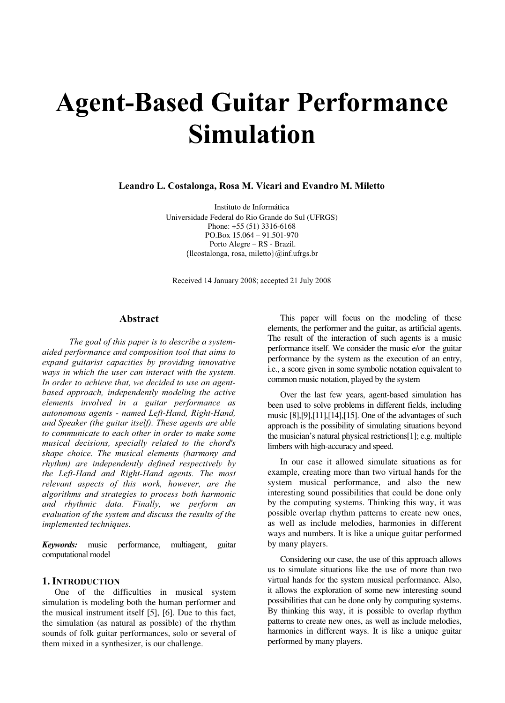# Agent-Based Guitar Performance Simulation

Leandro L. Costalonga, Rosa M. Vicari and Evandro M. Miletto

Instituto de Informática Universidade Federal do Rio Grande do Sul (UFRGS) Phone: +55 (51) 3316-6168 PO.Box 15.064 – 91.501-970 Porto Alegre – RS - Brazil. {llcostalonga, rosa, miletto}@inf.ufrgs.br

Received 14 January 2008; accepted 21 July 2008

#### Abstract

 The goal of this paper is to describe a systemaided performance and composition tool that aims to expand guitarist capacities by providing innovative ways in which the user can interact with the system. In order to achieve that, we decided to use an agentbased approach, independently modeling the active elements involved in a guitar performance as autonomous agents - named Left-Hand, Right-Hand, and Speaker (the guitar itself). These agents are able to communicate to each other in order to make some musical decisions, specially related to the chord's shape choice. The musical elements (harmony and rhythm) are independently defined respectively by the Left-Hand and Right-Hand agents. The most relevant aspects of this work, however, are the algorithms and strategies to process both harmonic and rhythmic data. Finally, we perform an evaluation of the system and discuss the results of the implemented techniques.

Keywords: music performance, multiagent, guitar computational model

#### 1. INTRODUCTION

One of the difficulties in musical system simulation is modeling both the human performer and the musical instrument itself [5], [6]. Due to this fact, the simulation (as natural as possible) of the rhythm sounds of folk guitar performances, solo or several of them mixed in a synthesizer, is our challenge.

This paper will focus on the modeling of these elements, the performer and the guitar, as artificial agents. The result of the interaction of such agents is a music performance itself. We consider the music e/or the guitar performance by the system as the execution of an entry, i.e., a score given in some symbolic notation equivalent to common music notation, played by the system

Over the last few years, agent-based simulation has been used to solve problems in different fields, including music [8],[9],[11],[14],[15]. One of the advantages of such approach is the possibility of simulating situations beyond the musician's natural physical restrictions[1]; e.g. multiple limbers with high-accuracy and speed.

In our case it allowed simulate situations as for example, creating more than two virtual hands for the system musical performance, and also the new interesting sound possibilities that could be done only by the computing systems. Thinking this way, it was possible overlap rhythm patterns to create new ones, as well as include melodies, harmonies in different ways and numbers. It is like a unique guitar performed by many players.

Considering our case, the use of this approach allows us to simulate situations like the use of more than two virtual hands for the system musical performance. Also, it allows the exploration of some new interesting sound possibilities that can be done only by computing systems. By thinking this way, it is possible to overlap rhythm patterns to create new ones, as well as include melodies, harmonies in different ways. It is like a unique guitar performed by many players.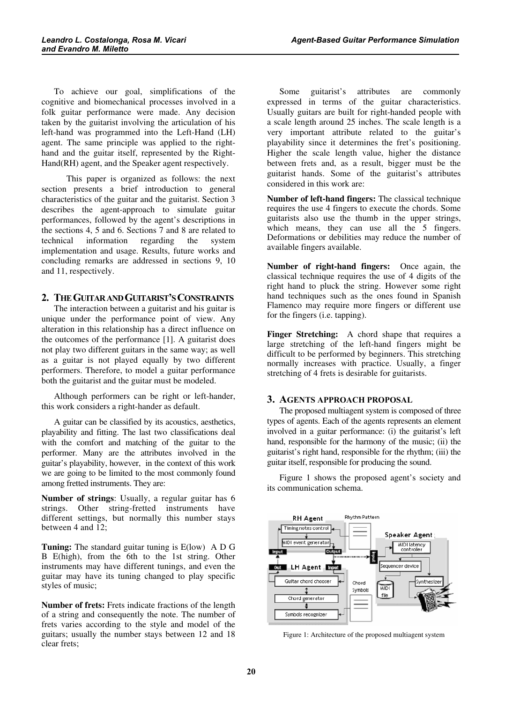To achieve our goal, simplifications of the cognitive and biomechanical processes involved in a folk guitar performance were made. Any decision taken by the guitarist involving the articulation of his left-hand was programmed into the Left-Hand (LH) agent. The same principle was applied to the righthand and the guitar itself, represented by the Right-Hand(RH) agent, and the Speaker agent respectively.

 This paper is organized as follows: the next section presents a brief introduction to general characteristics of the guitar and the guitarist. Section 3 describes the agent-approach to simulate guitar performances, followed by the agent's descriptions in the sections 4, 5 and 6. Sections 7 and 8 are related to technical information regarding the system implementation and usage. Results, future works and concluding remarks are addressed in sections 9, 10 and 11, respectively.

# 2. THE GUITAR AND GUITARIST'S CONSTRAINTS

The interaction between a guitarist and his guitar is unique under the performance point of view. Any alteration in this relationship has a direct influence on the outcomes of the performance [1]. A guitarist does not play two different guitars in the same way; as well as a guitar is not played equally by two different performers. Therefore, to model a guitar performance both the guitarist and the guitar must be modeled.

Although performers can be right or left-hander, this work considers a right-hander as default.

A guitar can be classified by its acoustics, aesthetics, playability and fitting. The last two classifications deal with the comfort and matching of the guitar to the performer. Many are the attributes involved in the guitar's playability, however, in the context of this work we are going to be limited to the most commonly found among fretted instruments. They are:

Number of strings: Usually, a regular guitar has 6 strings. Other string-fretted instruments have different settings, but normally this number stays between 4 and 12;

**Tuning:** The standard guitar tuning is  $E(\text{low})$  A D G B E(high), from the 6th to the 1st string. Other instruments may have different tunings, and even the guitar may have its tuning changed to play specific styles of music;

Number of frets: Frets indicate fractions of the length of a string and consequently the note. The number of frets varies according to the style and model of the guitars; usually the number stays between 12 and 18 clear frets;

Some guitarist's attributes are commonly expressed in terms of the guitar characteristics. Usually guitars are built for right-handed people with a scale length around 25 inches. The scale length is a very important attribute related to the guitar's playability since it determines the fret's positioning. Higher the scale length value, higher the distance between frets and, as a result, bigger must be the guitarist hands. Some of the guitarist's attributes considered in this work are:

Number of left-hand fingers: The classical technique requires the use 4 fingers to execute the chords. Some guitarists also use the thumb in the upper strings, which means, they can use all the 5 fingers. Deformations or debilities may reduce the number of available fingers available.

Number of right-hand fingers: Once again, the classical technique requires the use of 4 digits of the right hand to pluck the string. However some right hand techniques such as the ones found in Spanish Flamenco may require more fingers or different use for the fingers (i.e. tapping).

Finger Stretching: A chord shape that requires a large stretching of the left-hand fingers might be difficult to be performed by beginners. This stretching normally increases with practice. Usually, a finger stretching of 4 frets is desirable for guitarists.

#### 3. AGENTS APPROACH PROPOSAL

The proposed multiagent system is composed of three types of agents. Each of the agents represents an element involved in a guitar performance: (i) the guitarist's left hand, responsible for the harmony of the music; (ii) the guitarist's right hand, responsible for the rhythm; (iii) the guitar itself, responsible for producing the sound.

Figure 1 shows the proposed agent's society and its communication schema.



Figure 1: Architecture of the proposed multiagent system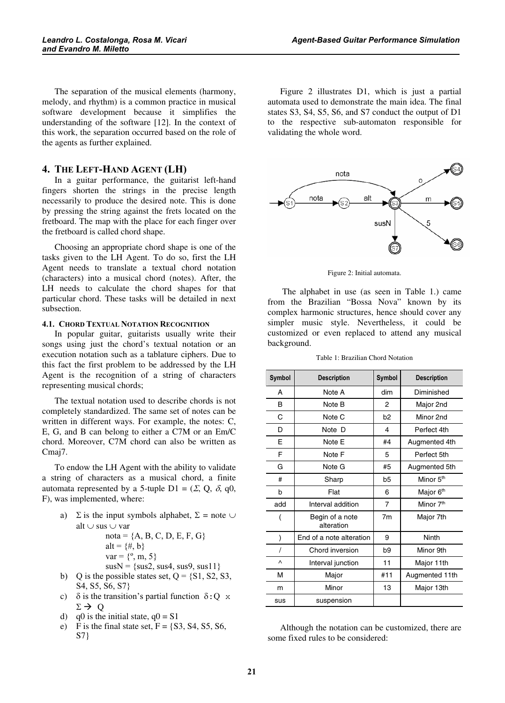The separation of the musical elements (harmony, melody, and rhythm) is a common practice in musical software development because it simplifies the understanding of the software [12]. In the context of this work, the separation occurred based on the role of the agents as further explained.

#### 4. THE LEFT-HAND AGENT (LH)

In a guitar performance, the guitarist left-hand fingers shorten the strings in the precise length necessarily to produce the desired note. This is done by pressing the string against the frets located on the fretboard. The map with the place for each finger over the fretboard is called chord shape.

Choosing an appropriate chord shape is one of the tasks given to the LH Agent. To do so, first the LH Agent needs to translate a textual chord notation (characters) into a musical chord (notes). After, the LH needs to calculate the chord shapes for that particular chord. These tasks will be detailed in next subsection.

#### 4.1. CHORD TEXTUAL NOTATION RECOGNITION

In popular guitar, guitarists usually write their songs using just the chord's textual notation or an execution notation such as a tablature ciphers. Due to this fact the first problem to be addressed by the LH Agent is the recognition of a string of characters representing musical chords;

The textual notation used to describe chords is not completely standardized. The same set of notes can be written in different ways. For example, the notes: C, E, G, and B can belong to either a C7M or an Em/C chord. Moreover, C7M chord can also be written as Cmaj7.

To endow the LH Agent with the ability to validate a string of characters as a musical chord, a finite automata represented by a 5-tuple D1 =  $(\Sigma, Q, \delta, q0,$ F), was implemented, where:

a)  $\Sigma$  is the input symbols alphabet,  $\Sigma$  = note  $\cup$ alt ∪ sus ∪ var

\n
$$
\text{nota} = \{A, B, C, D, E, F, G\}
$$
\n  
\n $\text{alt} = \{\#, b\}$ \n  
\n $\text{var} = \{^{\circ}, \, m, 5\}$ \n  
\n $\text{susN} = \{\text{sus2}, \, \text{sus4}, \, \text{sus9}, \, \text{sus11}\}$ \n  
\n $\text{b)}$ \n

\n\n $\text{Q}$  is the possible states set, Q =  $\{S1, S2, S3\}$ \n

- S4, S5, S6, S7}
- c)  $\delta$  is the transition's partial function  $\delta$ : Q x  $\Sigma \rightarrow Q$
- d) q0 is the initial state,  $q0 = S1$
- e) F is the final state set,  $F = \{S3, S4, S5, S6,$ S7}

Figure 2 illustrates D1, which is just a partial automata used to demonstrate the main idea. The final states S3, S4, S5, S6, and S7 conduct the output of D1 to the respective sub-automaton responsible for validating the whole word.



Figure 2: Initial automata.

 The alphabet in use (as seen in Table 1.) came from the Brazilian "Bossa Nova" known by its complex harmonic structures, hence should cover any simpler music style. Nevertheless, it could be customized or even replaced to attend any musical background.

Table 1: Brazilian Chord Notation

| Symbol | <b>Description</b>            | <b>Symbol</b>  | <b>Description</b>    |  |
|--------|-------------------------------|----------------|-----------------------|--|
| А      | Note A                        | dim            | Diminished            |  |
| B      | Note B                        | 2              | Major 2nd             |  |
| C      | Note C                        | b <sub>2</sub> | Minor 2nd             |  |
| D      | Note D                        | 4              | Perfect 4th           |  |
| F      | Note E                        | #4             | Augmented 4th         |  |
| F      | Note F                        | 5              | Perfect 5th           |  |
| G      | Note G                        | #5             | Augmented 5th         |  |
| #      | Sharp                         | b <sub>5</sub> | Minor 5 <sup>th</sup> |  |
| b      | Flat                          | 6              | Major 6 <sup>th</sup> |  |
| add    | Interval addition             | 7              | Minor 7 <sup>th</sup> |  |
|        | Begin of a note<br>alteration | 7 <sub>m</sub> | Major 7th             |  |
|        | End of a note alteration      | 9              | Ninth                 |  |
|        | Chord inversion               | b9             | Minor 9th             |  |
| Λ      | Interval junction             | 11             | Major 11th            |  |
| М      | Major                         | #11            | Augmented 11th        |  |
| m      | Minor                         | 13             | Major 13th            |  |
| sus    | suspension                    |                |                       |  |

Although the notation can be customized, there are some fixed rules to be considered: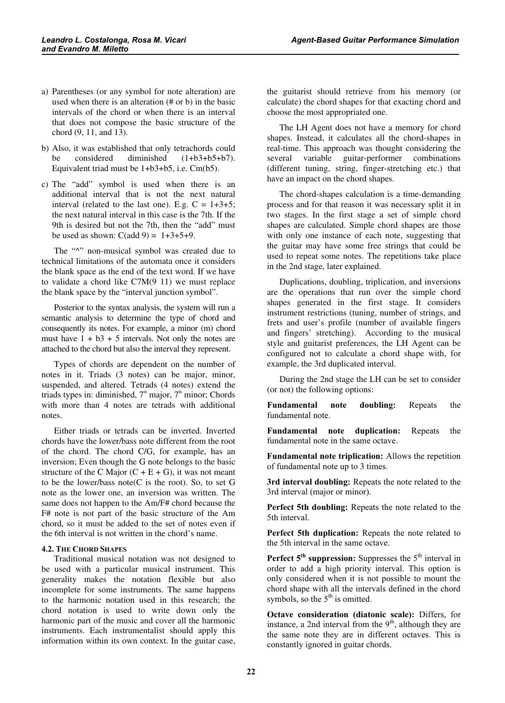- a) Parentheses (or any symbol for note alteration) are used when there is an alteration (# or b) in the basic intervals of the chord or when there is an interval that does not compose the basic structure of the chord (9, 11, and 13).
- b) Also, it was established that only tetrachords could be considered diminished (1+b3+b5+b7). Equivalent triad must be 1+b3+b5, i.e. Cm(b5).
- c) The "add" symbol is used when there is an additional interval that is not the next natural interval (related to the last one). E.g.  $C = 1+3+5$ ; the next natural interval in this case is the 7th. If the 9th is desired but not the 7th, then the "add" must be used as shown:  $C(\text{add } 9) = 1+3+5+9$ .

The " $\wedge$ " non-musical symbol was created due to technical limitations of the automata once it considers the blank space as the end of the text word. If we have to validate a chord like  $C7M(9\ 11)$  we must replace the blank space by the "interval junction symbol".

Posterior to the syntax analysis, the system will run a semantic analysis to determine the type of chord and consequently its notes. For example, a minor (m) chord must have  $1 + b3 + 5$  intervals. Not only the notes are attached to the chord but also the interval they represent.

Types of chords are dependent on the number of notes in it. Triads (3 notes) can be major, minor, suspended, and altered. Tetrads (4 notes) extend the triads types in: diminished,  $7<sup>th</sup>$  major,  $7<sup>th</sup>$  minor; Chords with more than 4 notes are tetrads with additional notes.

Either triads or tetrads can be inverted. Inverted chords have the lower/bass note different from the root of the chord. The chord C/G, for example, has an inversion; Even though the G note belongs to the basic structure of the C Major  $(C + E + G)$ , it was not meant to be the lower/bass note(C is the root). So, to set G note as the lower one, an inversion was written. The same does not happen to the Am/F# chord because the F# note is not part of the basic structure of the Am chord, so it must be added to the set of notes even if the 6th interval is not written in the chord's name.

# 4.2. THE CHORD SHAPES

Traditional musical notation was not designed to be used with a particular musical instrument. This generality makes the notation flexible but also incomplete for some instruments. The same happens to the harmonic notation used in this research; the chord notation is used to write down only the harmonic part of the music and cover all the harmonic instruments. Each instrumentalist should apply this information within its own context. In the guitar case,

the guitarist should retrieve from his memory (or calculate) the chord shapes for that exacting chord and choose the most appropriated one.

The LH Agent does not have a memory for chord shapes. Instead, it calculates all the chord-shapes in real-time. This approach was thought considering the several variable guitar-performer combinations (different tuning, string, finger-stretching etc.) that have an impact on the chord shapes.

The chord-shapes calculation is a time-demanding process and for that reason it was necessary split it in two stages. In the first stage a set of simple chord shapes are calculated. Simple chord shapes are those with only one instance of each note, suggesting that the guitar may have some free strings that could be used to repeat some notes. The repetitions take place in the 2nd stage, later explained.

Duplications, doubling, triplication, and inversions are the operations that run over the simple chord shapes generated in the first stage. It considers instrument restrictions (tuning, number of strings, and frets and user's profile (number of available fingers and fingers' stretching). According to the musical style and guitarist preferences, the LH Agent can be configured not to calculate a chord shape with, for example, the 3rd duplicated interval.

During the 2nd stage the LH can be set to consider (or not) the following options:

Fundamental note doubling: Repeats the fundamental note.

Fundamental note duplication: Repeats the fundamental note in the same octave.

Fundamental note triplication: Allows the repetition of fundamental note up to 3 times.

3rd interval doubling: Repeats the note related to the 3rd interval (major or minor).

Perfect 5th doubling: Repeats the note related to the 5th interval.

Perfect 5th duplication: Repeats the note related to the 5th interval in the same octave.

Perfect  $5<sup>th</sup>$  suppression: Suppresses the  $5<sup>th</sup>$  interval in order to add a high priority interval. This option is only considered when it is not possible to mount the chord shape with all the intervals defined in the chord symbols, so the  $5<sup>th</sup>$  is omitted.

Octave consideration (diatonic scale): Differs, for instance, a 2nd interval from the  $9<sup>th</sup>$ , although they are the same note they are in different octaves. This is constantly ignored in guitar chords.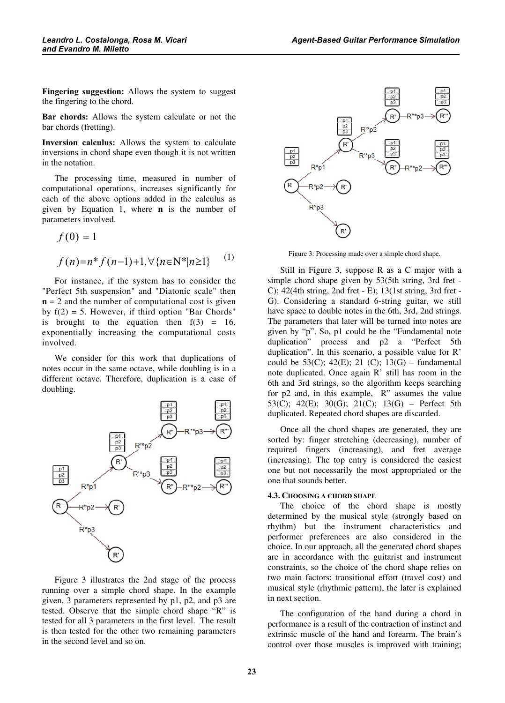Fingering suggestion: Allows the system to suggest the fingering to the chord.

Bar chords: Allows the system calculate or not the bar chords (fretting).

Inversion calculus: Allows the system to calculate inversions in chord shape even though it is not written in the notation.

The processing time, measured in number of computational operations, increases significantly for each of the above options added in the calculus as given by Equation 1, where  $\bf{n}$  is the number of parameters involved.

$$
f(0) = 1
$$
  

$$
f(n)=n * f(n-1)+1, \forall \{n \in \mathbb{N}^* | n \ge 1\}
$$
 (1)

For instance, if the system has to consider the "Perfect 5th suspension" and "Diatonic scale" then  $n = 2$  and the number of computational cost is given by  $f(2) = 5$ . However, if third option "Bar Chords" is brought to the equation then  $f(3) = 16$ , exponentially increasing the computational costs involved.

We consider for this work that duplications of notes occur in the same octave, while doubling is in a different octave. Therefore, duplication is a case of doubling.



Figure 3 illustrates the 2nd stage of the process running over a simple chord shape. In the example given, 3 parameters represented by p1, p2, and p3 are tested. Observe that the simple chord shape "R" is tested for all 3 parameters in the first level. The result is then tested for the other two remaining parameters in the second level and so on.



Figure 3: Processing made over a simple chord shape.

Still in Figure 3, suppose R as a C major with a simple chord shape given by 53(5th string, 3rd fret - C); 42(4th string, 2nd fret - E); 13(1st string, 3rd fret - G). Considering a standard 6-string guitar, we still have space to double notes in the 6th, 3rd, 2nd strings. The parameters that later will be turned into notes are given by "p". So, p1 could be the "Fundamental note duplication" process and p2 a "Perfect 5th duplication". In this scenario, a possible value for R' could be  $53(C)$ ;  $42(E)$ ;  $21(C)$ ;  $13(G)$  – fundamental note duplicated. Once again R' still has room in the 6th and 3rd strings, so the algorithm keeps searching for p2 and, in this example, R" assumes the value 53(C); 42(E); 30(G); 21(C); 13(G) – Perfect 5th duplicated. Repeated chord shapes are discarded.

Once all the chord shapes are generated, they are sorted by: finger stretching (decreasing), number of required fingers (increasing), and fret average (increasing). The top entry is considered the easiest one but not necessarily the most appropriated or the one that sounds better.

#### 4.3. CHOOSING A CHORD SHAPE

The choice of the chord shape is mostly determined by the musical style (strongly based on rhythm) but the instrument characteristics and performer preferences are also considered in the choice. In our approach, all the generated chord shapes are in accordance with the guitarist and instrument constraints, so the choice of the chord shape relies on two main factors: transitional effort (travel cost) and musical style (rhythmic pattern), the later is explained in next section.

The configuration of the hand during a chord in performance is a result of the contraction of instinct and extrinsic muscle of the hand and forearm. The brain's control over those muscles is improved with training;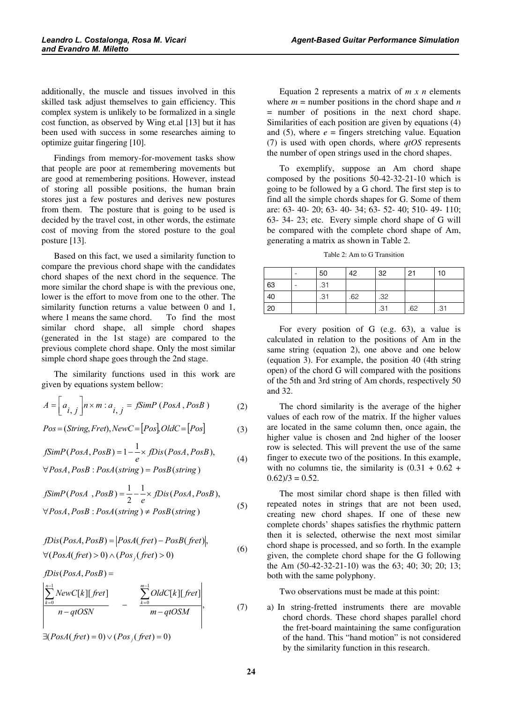additionally, the muscle and tissues involved in this skilled task adjust themselves to gain efficiency. This complex system is unlikely to be formalized in a single cost function, as observed by Wing et.al [13] but it has been used with success in some researches aiming to optimize guitar fingering [10].

Findings from memory-for-movement tasks show that people are poor at remembering movements but are good at remembering positions. However, instead of storing all possible positions, the human brain stores just a few postures and derives new postures from them. The posture that is going to be used is decided by the travel cost, in other words, the estimate cost of moving from the stored posture to the goal posture [13].

Based on this fact, we used a similarity function to compare the previous chord shape with the candidates chord shapes of the next chord in the sequence. The more similar the chord shape is with the previous one, lower is the effort to move from one to the other. The similarity function returns a value between 0 and 1, where 1 means the same chord. To find the most similar chord shape, all simple chord shapes (generated in the 1st stage) are compared to the previous complete chord shape. Only the most similar simple chord shape goes through the 2nd stage.

The similarity functions used in this work are given by equations system bellow:

$$
A = \left[a_{i,j}\right]n \times m : a_{i,j} = fSimP\left(PosA, PosB\right)
$$
 (2)

$$
Pos = (String, Fred), NewC = [Pos], OldC = [Pos]
$$
 (3)

$$
fSimP(PosA, PosB) = 1 - \frac{1}{e} \times fDis(PosA, PosB),
$$
\n(4)

 $PosA, PosB : PosA (string) = PosB (string)$  $\forall PosA, PosB : PosA (string) =$ 

$$
fSimP(PosA, PosB) = \frac{1}{2} - \frac{1}{e} \times fDis(PosA, PosB),
$$
  
\n
$$
\forall PosA, PosB : PosA(String) \neq PosB(String)
$$
 (5)

$$
fDis(PosA, PosB) = |PosA(fret) - PosB(fret)|,\forall (PosA(fret) > 0) \land (Pos_j(fret) > 0)
$$
\n(6)

 $fDis(PosA, PosB) =$ 

$$
\left|\frac{\sum_{k=0}^{n-1} NewC[k][fret]}{n-qtOSN}\right| - \frac{\sum_{k=0}^{m-1} OldC[k][fret]}{m-qtOSM}\right|, \tag{7}
$$

 $\exists (PosA(fret) = 0) \lor (Pos_j(fret) = 0)$ 

Equation 2 represents a matrix of  $m \times n$  elements where  $m =$  number positions in the chord shape and n = number of positions in the next chord shape. Similarities of each position are given by equations (4) and (5), where  $e =$  fingers stretching value. Equation (7) is used with open chords, where  $qtOS$  represents the number of open strings used in the chord shapes.

To exemplify, suppose an Am chord shape composed by the positions 50-42-32-21-10 which is going to be followed by a G chord. The first step is to find all the simple chords shapes for G. Some of them are: 63- 40- 20; 63- 40- 34; 63- 52- 40; 510- 49- 110; 63- 34- 23; etc. Every simple chord shape of G will be compared with the complete chord shape of Am, generating a matrix as shown in Table 2.

Table 2: Am to G Transition

|    | 50  | 42  | 32  | 21  | 10  |
|----|-----|-----|-----|-----|-----|
| 63 | .31 |     |     |     |     |
| 40 | .31 | .62 | .32 |     |     |
| 20 |     |     | .31 | .62 | .31 |

For every position of G (e.g. 63), a value is calculated in relation to the positions of Am in the same string (equation 2), one above and one below (equation 3). For example, the position 40 (4th string open) of the chord G will compared with the positions of the 5th and 3rd string of Am chords, respectively 50 and 32.

The chord similarity is the average of the higher values of each row of the matrix. If the higher values are located in the same column then, once again, the higher value is chosen and 2nd higher of the looser row is selected. This will prevent the use of the same finger to execute two of the positions. In this example, with no columns tie, the similarity is  $(0.31 + 0.62 +$  $0.62/3 = 0.52$ .

The most similar chord shape is then filled with repeated notes in strings that are not been used, creating new chord shapes. If one of these new complete chords' shapes satisfies the rhythmic pattern then it is selected, otherwise the next most similar chord shape is processed, and so forth. In the example given, the complete chord shape for the G following the Am (50-42-32-21-10) was the 63; 40; 30; 20; 13; both with the same polyphony.

Two observations must be made at this point:

a) In string-fretted instruments there are movable chord chords. These chord shapes parallel chord the fret-board maintaining the same configuration of the hand. This "hand motion" is not considered by the similarity function in this research.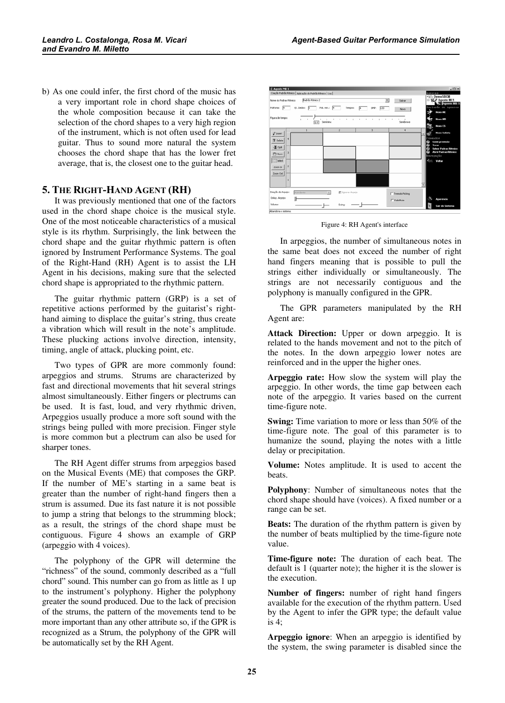b) As one could infer, the first chord of the music has a very important role in chord shape choices of the whole composition because it can take the selection of the chord shapes to a very high region of the instrument, which is not often used for lead guitar. Thus to sound more natural the system chooses the chord shape that has the lower fret average, that is, the closest one to the guitar head.

## 5. THE RIGHT-HAND AGENT (RH)

It was previously mentioned that one of the factors used in the chord shape choice is the musical style. One of the most noticeable characteristics of a musical style is its rhythm. Surprisingly, the link between the chord shape and the guitar rhythmic pattern is often ignored by Instrument Performance Systems. The goal of the Right-Hand (RH) Agent is to assist the LH Agent in his decisions, making sure that the selected chord shape is appropriated to the rhythmic pattern.

The guitar rhythmic pattern (GRP) is a set of repetitive actions performed by the guitarist's righthand aiming to displace the guitar's string, thus create a vibration which will result in the note's amplitude. These plucking actions involve direction, intensity, timing, angle of attack, plucking point, etc.

Two types of GPR are more commonly found: arpeggios and strums. Strums are characterized by fast and directional movements that hit several strings almost simultaneously. Either fingers or plectrums can be used. It is fast, loud, and very rhythmic driven, Arpeggios usually produce a more soft sound with the strings being pulled with more precision. Finger style is more common but a plectrum can also be used for sharper tones.

The RH Agent differ strums from arpeggios based on the Musical Events (ME) that composes the GRP. If the number of ME's starting in a same beat is greater than the number of right-hand fingers then a strum is assumed. Due its fast nature it is not possible to jump a string that belongs to the strumming block; as a result, the strings of the chord shape must be contiguous. Figure 4 shows an example of GRP (arpeggio with 4 voices).

The polyphony of the GPR will determine the "richness" of the sound, commonly described as a "full chord" sound. This number can go from as little as 1 up to the instrument's polyphony. Higher the polyphony greater the sound produced. Due to the lack of precision of the strums, the pattern of the movements tend to be more important than any other attribute so, if the GPR is recognized as a Strum, the polyphony of the GPR will be automatically set by the RH Agent.



Figure 4: RH Agent's interface

In arpeggios, the number of simultaneous notes in the same beat does not exceed the number of right hand fingers meaning that is possible to pull the strings either individually or simultaneously. The strings are not necessarily contiguous and the polyphony is manually configured in the GPR.

The GPR parameters manipulated by the RH Agent are:

Attack Direction: Upper or down arpeggio. It is related to the hands movement and not to the pitch of the notes. In the down arpeggio lower notes are reinforced and in the upper the higher ones.

Arpeggio rate: How slow the system will play the arpeggio. In other words, the time gap between each note of the arpeggio. It varies based on the current time-figure note.

**Swing:** Time variation to more or less than 50% of the time-figure note. The goal of this parameter is to humanize the sound, playing the notes with a little delay or precipitation.

**Volume:** Notes amplitude. It is used to accent the beats.

Polyphony: Number of simultaneous notes that the chord shape should have (voices). A fixed number or a range can be set.

**Beats:** The duration of the rhythm pattern is given by the number of beats multiplied by the time-figure note value.

Time-figure note: The duration of each beat. The default is 1 (quarter note); the higher it is the slower is the execution.

Number of fingers: number of right hand fingers available for the execution of the rhythm pattern. Used by the Agent to infer the GPR type; the default value is 4;

Arpeggio ignore: When an arpeggio is identified by the system, the swing parameter is disabled since the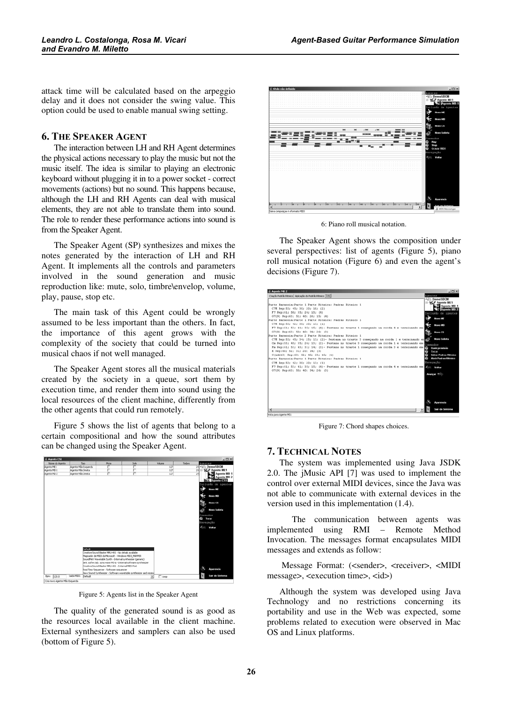attack time will be calculated based on the arpeggio delay and it does not consider the swing value. This option could be used to enable manual swing setting.

#### 6. THE SPEAKER AGENT

The interaction between LH and RH Agent determines the physical actions necessary to play the music but not the music itself. The idea is similar to playing an electronic keyboard without plugging it in to a power socket - correct movements (actions) but no sound. This happens because, although the LH and RH Agents can deal with musical elements, they are not able to translate them into sound. The role to render these performance actions into sound is from the Speaker Agent.

The Speaker Agent (SP) synthesizes and mixes the notes generated by the interaction of LH and RH Agent. It implements all the controls and parameters involved in the sound generation and music reproduction like: mute, solo, timbre\envelop, volume, play, pause, stop etc.

The main task of this Agent could be wrongly assumed to be less important than the others. In fact, the importance of this agent grows with the complexity of the society that could be turned into musical chaos if not well managed.

The Speaker Agent stores all the musical materials created by the society in a queue, sort them by execution time, and render them into sound using the local resources of the client machine, differently from the other agents that could run remotely.

Figure 5 shows the list of agents that belong to a certain compositional and how the sound attributes can be changed using the Speaker Agent.



Figure 5: Agents list in the Speaker Agent

The quality of the generated sound is as good as the resources local available in the client machine. External synthesizers and samplers can also be used (bottom of Figure 5).



6: Piano roll musical notation.

The Speaker Agent shows the composition under several perspectives: list of agents (Figure 5), piano roll musical notation (Figure 6) and even the agent's decisions (Figure 7).



Figure 7: Chord shapes choices.

# 7. TECHNICAL NOTES

The system was implemented using Java JSDK 2.0. The jMusic API [7] was used to implement the control over external MIDI devices, since the Java was not able to communicate with external devices in the version used in this implementation (1.4).

 The communication between agents was implemented using RMI – Remote Method Invocation. The messages format encapsulates MIDI messages and extends as follow:

Message Format: (<sender>, <receiver>, <MIDI message>, <execution time>, <id>)

Although the system was developed using Java Technology and no restrictions concerning its portability and use in the Web was expected, some problems related to execution were observed in Mac OS and Linux platforms.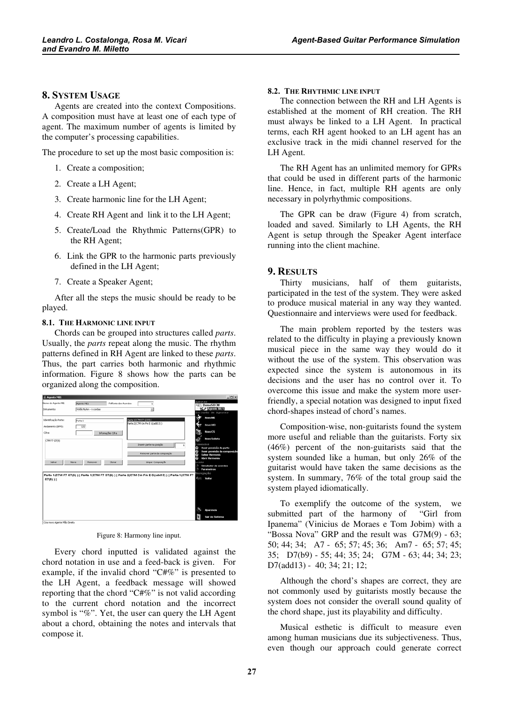## 8. SYSTEM USAGE

Agents are created into the context Compositions. A composition must have at least one of each type of agent. The maximum number of agents is limited by the computer's processing capabilities.

The procedure to set up the most basic composition is:

- 1. Create a composition;
- 2. Create a LH Agent;
- 3. Create harmonic line for the LH Agent;
- 4. Create RH Agent and link it to the LH Agent;
- 5. Create/Load the Rhythmic Patterns(GPR) to the RH Agent;
- 6. Link the GPR to the harmonic parts previously defined in the LH Agent;
- 7. Create a Speaker Agent;

After all the steps the music should be ready to be played.

#### 8.1. THE HARMONIC LINE INPUT

Chords can be grouped into structures called parts. Usually, the *parts* repeat along the music. The rhythm patterns defined in RH Agent are linked to these parts. Thus, the part carries both harmonic and rhythmic information. Figure 8 shows how the parts can be organized along the composition.

| lgentes<br>Agente ME1<br>Polifonia dos Acordes:<br>s<br><b>Janua</b> SBCM<br><b>Sty Agente ME1</b><br>Ξ<br>Violão Nylon - 6 cordas<br>Novo ME<br>Parte ((C7M F7 G7(9))<br>Identificação Parte:<br>Parte 1<br>Parte 2(C7M Cm Pm E G(add13) )<br>Novo MD<br>120<br>Andamento (BPM):<br>Novo CS<br>Cfra:<br>Informações Cifra<br><b>Novo Solista</b><br>C7MF7 (27(9)<br>ceandos<br>Inserir parte na posição<br>Remover parte da composição<br>e<br>Salvar Harmonia<br>÷<br><b>Abrir Hermonia</b><br>Limpar Composição<br>Salvar<br>Remover<br>Nova<br>Clonar<br>inks<br>Parametros<br>n<br>lavegação<br>Parte 1(C7M F7 G7(9))    Parte 1(C7M F7 G7(9))    Parte 2(C7M Cm Fm E G(add13))    Parte 1(C7M F7 | E. Agente ME1                     |  |  | ᅬᄆᄸ                                                                                       |
|--------------------------------------------------------------------------------------------------------------------------------------------------------------------------------------------------------------------------------------------------------------------------------------------------------------------------------------------------------------------------------------------------------------------------------------------------------------------------------------------------------------------------------------------------------------------------------------------------------------------------------------------------------------------------------------------------------|-----------------------------------|--|--|-------------------------------------------------------------------------------------------|
|                                                                                                                                                                                                                                                                                                                                                                                                                                                                                                                                                                                                                                                                                                        | Nome do Agente ME:<br>Intrumento: |  |  | Inclusão de Agentes                                                                       |
|                                                                                                                                                                                                                                                                                                                                                                                                                                                                                                                                                                                                                                                                                                        | $G7(9)$ )                         |  |  | Ouvir previsão da parte<br>Ouvir previsão da composição<br>Simulador de acordes<br>Voltar |
| Aparencia<br>Sair do Sistema<br>Cria novo Agente Mão Direita                                                                                                                                                                                                                                                                                                                                                                                                                                                                                                                                                                                                                                           |                                   |  |  |                                                                                           |

Figure 8: Harmony line input.

Every chord inputted is validated against the chord notation in use and a feed-back is given. For example, if the invalid chord "C#%" is presented to the LH Agent, a feedback message will showed reporting that the chord "C#%" is not valid according to the current chord notation and the incorrect symbol is "%". Yet, the user can query the LH Agent about a chord, obtaining the notes and intervals that compose it.

#### 8.2. THE RHYTHMIC LINE INPUT

The connection between the RH and LH Agents is established at the moment of RH creation. The RH must always be linked to a LH Agent. In practical terms, each RH agent hooked to an LH agent has an exclusive track in the midi channel reserved for the LH Agent.

The RH Agent has an unlimited memory for GPRs that could be used in different parts of the harmonic line. Hence, in fact, multiple RH agents are only necessary in polyrhythmic compositions.

The GPR can be draw (Figure 4) from scratch, loaded and saved. Similarly to LH Agents, the RH Agent is setup through the Speaker Agent interface running into the client machine.

#### 9. RESULTS

Thirty musicians, half of them guitarists, participated in the test of the system. They were asked to produce musical material in any way they wanted. Questionnaire and interviews were used for feedback.

The main problem reported by the testers was related to the difficulty in playing a previously known musical piece in the same way they would do it without the use of the system. This observation was expected since the system is autonomous in its decisions and the user has no control over it. To overcome this issue and make the system more userfriendly, a special notation was designed to input fixed chord-shapes instead of chord's names.

Composition-wise, non-guitarists found the system more useful and reliable than the guitarists. Forty six (46%) percent of the non-guitarists said that the system sounded like a human, but only 26% of the guitarist would have taken the same decisions as the system. In summary, 76% of the total group said the system played idiomatically.

To exemplify the outcome of the system, we submitted part of the harmony of "Girl from Ipanema" (Vinicius de Moraes e Tom Jobim) with a "Bossa Nova" GRP and the result was G7M(9) - 63; 50; 44; 34; A7 - 65; 57; 45; 36; Am7 - 65; 57; 45; 35; D7(b9) - 55; 44; 35; 24; G7M - 63; 44; 34; 23; D7(add13) - 40; 34; 21; 12;

Although the chord's shapes are correct, they are not commonly used by guitarists mostly because the system does not consider the overall sound quality of the chord shape, just its playability and difficulty.

Musical esthetic is difficult to measure even among human musicians due its subjectiveness. Thus, even though our approach could generate correct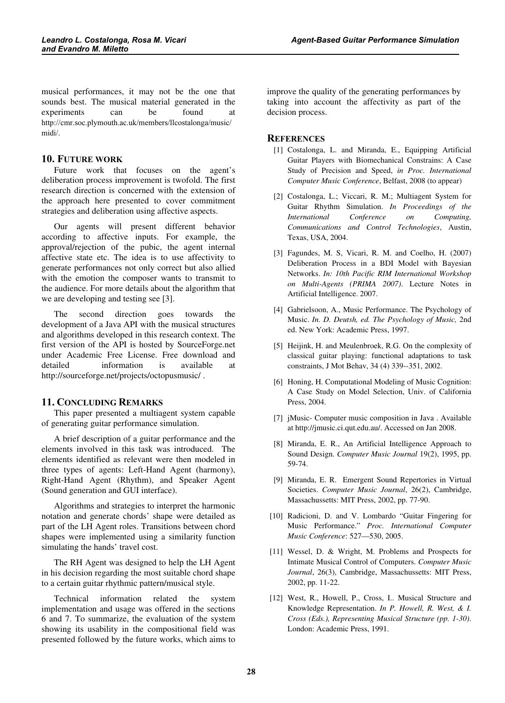musical performances, it may not be the one that sounds best. The musical material generated in the experiments can be found at http://cmr.soc.plymouth.ac.uk/members/llcostalonga/music/ midi/.

# 10. FUTURE WORK

Future work that focuses on the agent's deliberation process improvement is twofold. The first research direction is concerned with the extension of the approach here presented to cover commitment strategies and deliberation using affective aspects.

Our agents will present different behavior according to affective inputs. For example, the approval/rejection of the pubic, the agent internal affective state etc. The idea is to use affectivity to generate performances not only correct but also allied with the emotion the composer wants to transmit to the audience. For more details about the algorithm that we are developing and testing see [3].

The second direction goes towards the development of a Java API with the musical structures and algorithms developed in this research context. The first version of the API is hosted by SourceForge.net under Academic Free License. Free download and detailed information is available at http://sourceforge.net/projects/octopusmusic/ .

### 11. CONCLUDING REMARKS

This paper presented a multiagent system capable of generating guitar performance simulation.

A brief description of a guitar performance and the elements involved in this task was introduced. The elements identified as relevant were then modeled in three types of agents: Left-Hand Agent (harmony), Right-Hand Agent (Rhythm), and Speaker Agent (Sound generation and GUI interface).

Algorithms and strategies to interpret the harmonic notation and generate chords' shape were detailed as part of the LH Agent roles. Transitions between chord shapes were implemented using a similarity function simulating the hands' travel cost.

The RH Agent was designed to help the LH Agent in his decision regarding the most suitable chord shape to a certain guitar rhythmic pattern/musical style.

Technical information related the system implementation and usage was offered in the sections 6 and 7. To summarize, the evaluation of the system showing its usability in the compositional field was presented followed by the future works, which aims to

improve the quality of the generating performances by taking into account the affectivity as part of the decision process.

#### **REFERENCES**

- [1] Costalonga, L. and Miranda, E., Equipping Artificial Guitar Players with Biomechanical Constrains: A Case Study of Precision and Speed, in Proc. International Computer Music Conference, Belfast, 2008 (to appear)
- [2] Costalonga, L.; Viccari, R. M.; Multiagent System for Guitar Rhythm Simulation. In Proceedings of the *Internati* Conference on Computing, Communications and Control Technologies, Austin, Texas, USA, 2004.
- [3] Fagundes, M. S, Vicari, R. M. and Coelho, H. (2007) Deliberation Process in a BDI Model with Bayesian Networks. In: 10th Pacific RIM International Workshop on Multi-Agents (PRIMA 2007). Lecture Notes in Artificial Intelligence. 2007.
- [4] Gabrielsoon, A., Music Performance. The Psychology of Music. In. D. Deutsh, ed. The Psychology of Music, 2nd ed. New York: Academic Press, 1997.
- [5] Heijink, H. and Meulenbroek, R.G. On the complexity of classical guitar playing: functional adaptations to task constraints, J Mot Behav, 34 (4) 339--351, 2002.
- [6] Honing, H. Computational Modeling of Music Cognition: A Case Study on Model Selection, Univ. of California Press, 2004.
- [7] jMusic- Computer music composition in Java . Available at http://jmusic.ci.qut.edu.au/. Accessed on Jan 2008.
- [8] Miranda, E. R., An Artificial Intelligence Approach to Sound Design. Computer Music Journal 19(2), 1995, pp. 59-74.
- [9] Miranda, E. R. Emergent Sound Repertories in Virtual Societies. Computer Music Journal, 26(2), Cambridge, Massachussetts: MIT Press, 2002, pp. 77-90.
- [10] Radicioni, D. and V. Lombardo "Guitar Fingering for Music Performance." Proc. International Computer Music Conference: 527—530, 2005.
- [11] Wessel, D. & Wright, M. Problems and Prospects for Intimate Musical Control of Computers. Computer Music Journal, 26(3), Cambridge, Massachussetts: MIT Press, 2002, pp. 11-22.
- [12] West, R., Howell, P., Cross, I.. Musical Structure and Knowledge Representation. In P. Howell, R. West, & I. Cross (Eds.), Representing Musical Structure (pp. 1-30). London: Academic Press, 1991.